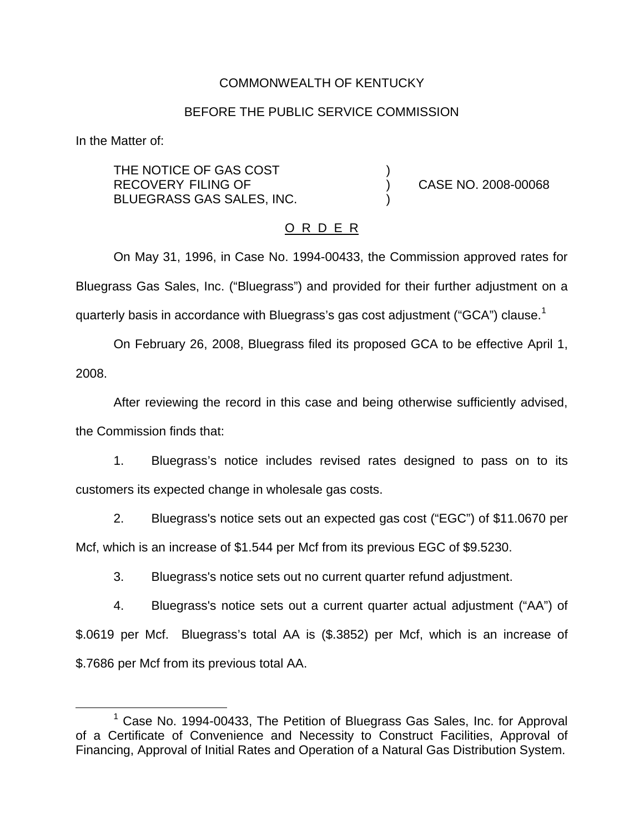## COMMONWEALTH OF KENTUCKY

#### BEFORE THE PUBLIC SERVICE COMMISSION

In the Matter of:

THE NOTICE OF GAS COST RECOVERY FILING OF ) CASE NO. 2008-00068 BLUEGRASS GAS SALES, INC. )

### O R D E R

On May 31, 1996, in Case No. 1994-00433, the Commission approved rates for Bluegrass Gas Sales, Inc. ("Bluegrass") and provided for their further adjustment on a quarterly basis in accordance with Bluegrass's gas cost adjustment ("GCA") clause.<sup>1</sup>

On February 26, 2008, Bluegrass filed its proposed GCA to be effective April 1, 2008.

After reviewing the record in this case and being otherwise sufficiently advised, the Commission finds that:

1. Bluegrass's notice includes revised rates designed to pass on to its customers its expected change in wholesale gas costs.

2. Bluegrass's notice sets out an expected gas cost ("EGC") of \$11.0670 per Mcf, which is an increase of \$1.544 per Mcf from its previous EGC of \$9.5230.

3. Bluegrass's notice sets out no current quarter refund adjustment.

4. Bluegrass's notice sets out a current quarter actual adjustment ("AA") of \$.0619 per Mcf. Bluegrass's total AA is (\$.3852) per Mcf, which is an increase of \$.7686 per Mcf from its previous total AA.

<sup>&</sup>lt;sup>1</sup> Case No. 1994-00433, The Petition of Bluegrass Gas Sales, Inc. for Approval of a Certificate of Convenience and Necessity to Construct Facilities, Approval of Financing, Approval of Initial Rates and Operation of a Natural Gas Distribution System.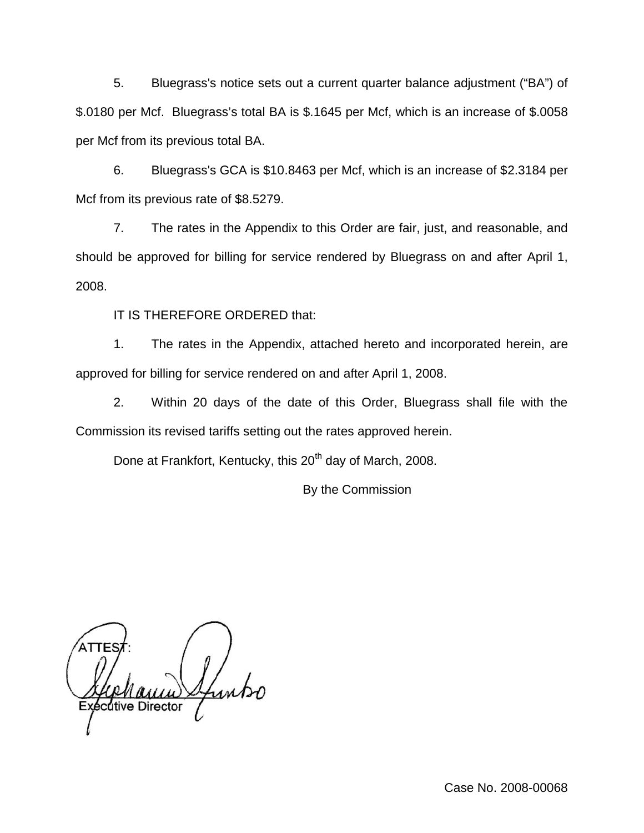5. Bluegrass's notice sets out a current quarter balance adjustment ("BA") of \$.0180 per Mcf. Bluegrass's total BA is \$.1645 per Mcf, which is an increase of \$.0058 per Mcf from its previous total BA.

6. Bluegrass's GCA is \$10.8463 per Mcf, which is an increase of \$2.3184 per Mcf from its previous rate of \$8.5279.

7. The rates in the Appendix to this Order are fair, just, and reasonable, and should be approved for billing for service rendered by Bluegrass on and after April 1, 2008.

IT IS THEREFORE ORDERED that:

1. The rates in the Appendix, attached hereto and incorporated herein, are approved for billing for service rendered on and after April 1, 2008.

2. Within 20 days of the date of this Order, Bluegrass shall file with the Commission its revised tariffs setting out the rates approved herein.

Done at Frankfort, Kentucky, this 20<sup>th</sup> day of March, 2008.

By the Commission

cutive Director